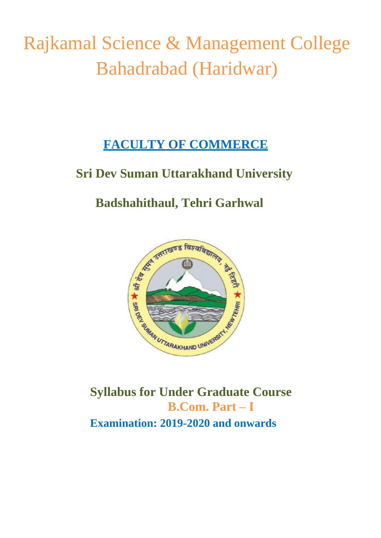Rajkamal Science & Management College Bahadrabad (Haridwar)

# **FACULTY OF COMMERCE**

# **Sri Dev Suman Uttarakhand University**

# **Badshahithaul, Tehri Garhwal**



**Syllabus for Under Graduate Course B.Com. Part – I Examination: 2019-2020 and onwards**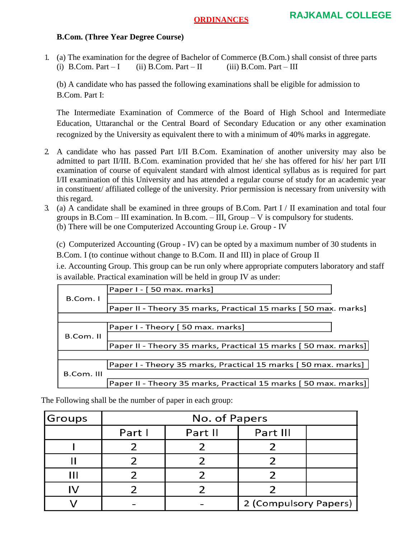### **B.Com. (Three Year Degree Course)**

1. (a) The examination for the degree of Bachelor of Commerce (B.Com.) shall consist of three parts (i) B.Com. Part – I (ii) B.Com. Part – II (iii) B.Com. Part – III

(b) A candidate who has passed the following examinations shall be eligible for admission to B.Com. Part I:

The Intermediate Examination of Commerce of the Board of High School and Intermediate Education, Uttaranchal or the Central Board of Secondary Education or any other examination recognized by the University as equivalent there to with a minimum of 40% marks in aggregate.

- 2. A candidate who has passed Part I/II B.Com. Examination of another university may also be admitted to part II/III. B.Com. examination provided that he/ she has offered for his/ her part I/II examination of course of equivalent standard with almost identical syllabus as is required for part I/II examination of this University and has attended a regular course of study for an academic year in constituent/ affiliated college of the university. Prior permission is necessary from university with this regard.
- 3. (a) A candidate shall be examined in three groups of B.Com. Part I / II examination and total four groups in B.Com – III examination. In B.com. – III, Group – V is compulsory for students. (b) There will be one Computerized Accounting Group i.e. Group - IV

(c) Computerized Accounting (Group - IV) can be opted by a maximum number of 30 students in B.Com. I (to continue without change to B.Com. II and III) in place of Group II

i.e. Accounting Group. This group can be run only where appropriate computers laboratory and staff is available. Practical examination will be held in group IV as under:

| Paper I - [50 max. marks]<br>B.Com. I<br>Paper II - Theory 35 marks, Practical 15 marks [50 max. marks]<br>Paper I - Theory [50 max. marks]<br>B.Com. II<br>Paper II - Theory 35 marks, Practical 15 marks [50 max. marks]]<br>Paper I - Theory 35 marks, Practical 15 marks [50 max. marks] |  |  |  |
|----------------------------------------------------------------------------------------------------------------------------------------------------------------------------------------------------------------------------------------------------------------------------------------------|--|--|--|
|                                                                                                                                                                                                                                                                                              |  |  |  |
|                                                                                                                                                                                                                                                                                              |  |  |  |
|                                                                                                                                                                                                                                                                                              |  |  |  |
|                                                                                                                                                                                                                                                                                              |  |  |  |
|                                                                                                                                                                                                                                                                                              |  |  |  |
|                                                                                                                                                                                                                                                                                              |  |  |  |
|                                                                                                                                                                                                                                                                                              |  |  |  |
|                                                                                                                                                                                                                                                                                              |  |  |  |
|                                                                                                                                                                                                                                                                                              |  |  |  |
| B.Com. III                                                                                                                                                                                                                                                                                   |  |  |  |
| Paper II - Theory 35 marks, Practical 15 marks [50 max. marks]                                                                                                                                                                                                                               |  |  |  |

The Following shall be the number of paper in each group:

| Groups | No. of Papers |         |                       |  |  |
|--------|---------------|---------|-----------------------|--|--|
|        | Part I        | Part II | Part III              |  |  |
|        |               |         |                       |  |  |
|        |               |         |                       |  |  |
|        |               |         |                       |  |  |
|        |               |         |                       |  |  |
|        |               |         | 2 (Compulsory Papers) |  |  |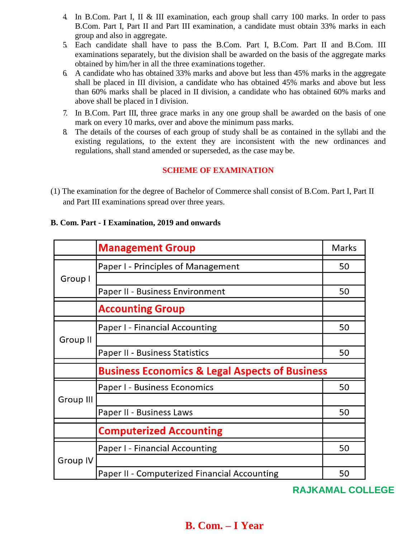- 4. In B.Com. Part I, II & III examination, each group shall carry 100 marks. In order to pass B.Com. Part I, Part II and Part III examination, a candidate must obtain 33% marks in each group and also in aggregate.
- 5. Each candidate shall have to pass the B.Com. Part I, B.Com. Part II and B.Com. III examinations separately, but the division shall be awarded on the basis of the aggregate marks obtained by him/her in all the three examinations together.
- 6. A candidate who has obtained 33% marks and above but less than 45% marks in the aggregate shall be placed in III division, a candidate who has obtained 45% marks and above but less than 60% marks shall be placed in II division, a candidate who has obtained 60% marks and above shall be placed in I division.
- 7. In B.Com. Part III, three grace marks in any one group shall be awarded on the basis of one mark on every 10 marks, over and above the minimum pass marks.
- 8. The details of the courses of each group of study shall be as contained in the syllabi and the existing regulations, to the extent they are inconsistent with the new ordinances and regulations, shall stand amended or superseded, as the case may be.

## **SCHEME OF EXAMINATION**

(1) The examination for the degree of Bachelor of Commerce shall consist of B.Com. Part I, Part II and Part III examinations spread over three years.

#### **B. Com. Part - I Examination, 2019 and onwards**

|                 | <b>Management Group</b>                                   | Marks |  |
|-----------------|-----------------------------------------------------------|-------|--|
| Group I         | Paper I - Principles of Management                        | 50    |  |
|                 |                                                           |       |  |
|                 | Paper II - Business Environment                           | 50    |  |
|                 | <b>Accounting Group</b>                                   |       |  |
| Group II        | Paper I - Financial Accounting                            | 50    |  |
|                 |                                                           |       |  |
|                 | Paper II - Business Statistics                            | 50    |  |
|                 | <b>Business Economics &amp; Legal Aspects of Business</b> |       |  |
| Group III       | Paper I - Business Economics                              | 50    |  |
|                 |                                                           |       |  |
|                 | Paper II - Business Laws                                  | 50    |  |
|                 | <b>Computerized Accounting</b>                            |       |  |
|                 | Paper I - Financial Accounting                            | 50    |  |
| <b>Group IV</b> |                                                           |       |  |
|                 | Paper II - Computerized Financial Accounting              | 50    |  |

## **RAJKAMAL COLLEGE**

# **B. Com. – I Year**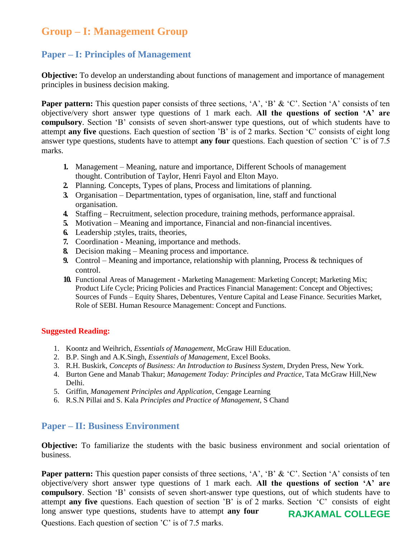# **Group – I: Management Group**

## **Paper – I: Principles of Management**

**Objective:** To develop an understanding about functions of management and importance of management principles in business decision making.

**Paper pattern:** This question paper consists of three sections, 'A', 'B' & 'C'. Section 'A' consists of ten objective/very short answer type questions of 1 mark each. **All the questions of section 'A' are compulsory**. Section 'B' consists of seven short-answer type questions, out of which students have to attempt **any five** questions. Each question of section 'B' is of 2 marks. Section 'C' consists of eight long answer type questions, students have to attempt **any four** questions. Each question of section 'C' is of 7.5 marks.

- **1.** Management Meaning, nature and importance, Different Schools of management thought. Contribution of Taylor, Henri Fayol and Elton Mayo.
- **2.** Planning. Concepts, Types of plans, Process and limitations of planning.
- **3.** Organisation Departmentation, types of organisation, line, staff and functional organisation.
- **4.** Staffing Recruitment, selection procedure, training methods, performance appraisal.
- **5.** Motivation Meaning and importance, Financial and non-financial incentives.
- **6.** Leadership ;styles, traits, theories,
- **7.** Coordination Meaning, importance and methods.
- **8.** Decision making Meaning process and importance.
- **9.** Control Meaning and importance, relationship with planning, Process & techniques of control.
- **10.** Functional Areas of Management **-** Marketing Management: Marketing Concept; Marketing Mix; Product Life Cycle; Pricing Policies and Practices Financial Management: Concept and Objectives; Sources of Funds – Equity Shares, Debentures, Venture Capital and Lease Finance. Securities Market, Role of SEBI. Human Resource Management: Concept and Functions.

#### **Suggested Reading:**

- 1. Koontz and Weihrich, *Essentials of Management*, McGraw Hill Education.
- 2. B.P. Singh and A.K.Singh, *Essentials of Management*, Excel Books.
- 3. R.H. Buskirk, *Concepts of Business: An Introduction to Business System*, Dryden Press, New York.
- 4. Burton Gene and Manab Thakur; *Management Today: Principles and Practice*, Tata McGraw Hill,New Delhi.
- 5. Griffin, *Management Principles and Application*, Cengage Learning
- 6. R.S.N Pillai and S. Kala *Principles and Practice of Management*, S Chand

## **Paper – II: Business Environment**

**Objective:** To familiarize the students with the basic business environment and social orientation of business.

**Paper pattern:** This question paper consists of three sections, 'A', 'B' & 'C'. Section 'A' consists of ten objective/very short answer type questions of 1 mark each. **All the questions of section 'A' are compulsory**. Section 'B' consists of seven short-answer type questions, out of which students have to attempt **any five** questions. Each question of section 'B' is of 2 marks. Section 'C' consists of eight long answer type questions, students have to attempt **any four** Questions. Each question of section 'C' is of 7.5 marks. **RAJKAMAL COLLEGE**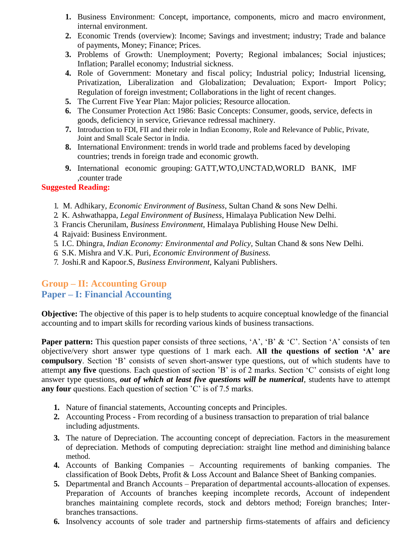- **1.** Business Environment: Concept, importance, components, micro and macro environment, internal environment.
- **2.** Economic Trends (overview): Income; Savings and investment; industry; Trade and balance of payments, Money; Finance; Prices.
- **3.** Problems of Growth: Unemployment; Poverty; Regional imbalances; Social injustices; Inflation; Parallel economy; Industrial sickness.
- **4.** Role of Government: Monetary and fiscal policy; Industrial policy; Industrial licensing, Privatization, Liberalization and Globalization; Devaluation; Export- Import Policy; Regulation of foreign investment; Collaborations in the light of recent changes.
- **5.** The Current Five Year Plan: Major policies; Resource allocation.
- **6.** The Consumer Protection Act 1986: Basic Concepts: Consumer, goods, service, defects in goods, deficiency in service, Grievance redressal machinery.
- **7.** Introduction to FDI, FII and their role in Indian Economy, Role and Relevance of Public, Private, Joint and Small Scale Sector in India.
- **8.** International Environment: trends in world trade and problems faced by developing countries; trends in foreign trade and economic growth.
- **9.** International economic grouping: GATT,WTO,UNCTAD,WORLD BANK, IMF ,counter trade

### **Suggested Reading:**

- 1. M. Adhikary, *Economic Environment of Business*, Sultan Chand & sons New Delhi.
- 2. K. Ashwathappa, *Legal Environment of Business*, Himalaya Publication New Delhi.
- 3. Francis Cherunilam, *Business Environment*, Himalaya Publishing House New Delhi.
- 4. Rajvaid: Business Environment.
- 5. I.C. Dhingra, *Indian Economy: Environmental and Policy,* Sultan Chand & sons New Delhi.
- *6.* S.K. Mishra and V.K. Puri, *Economic Environment of Business.*
- 7. Joshi.R and Kapoor.S, *Business Environment,* Kalyani Publishers.

## **Group – II: Accounting Group Paper – I: Financial Accounting**

**Objective:** The objective of this paper is to help students to acquire conceptual knowledge of the financial accounting and to impart skills for recording various kinds of business transactions.

**Paper pattern:** This question paper consists of three sections, 'A', 'B' & 'C'. Section 'A' consists of ten objective/very short answer type questions of 1 mark each. **All the questions of section 'A' are compulsory**. Section 'B' consists of seven short-answer type questions, out of which students have to attempt **any five** questions. Each question of section 'B' is of 2 marks. Section 'C' consists of eight long answer type questions, *out of which at least five questions will be numerical*, students have to attempt **any four** questions. Each question of section 'C' is of 7.5 marks.

- **1.** Nature of financial statements, Accounting concepts and Principles.
- **2.** Accounting Process From recording of a business transaction to preparation of trial balance including adjustments.
- **3.** The nature of Depreciation. The accounting concept of depreciation. Factors in the measurement of depreciation. Methods of computing depreciation: straight line method and diminishing balance method.
- **4.** Accounts of Banking Companies Accounting requirements of banking companies. The classification of Book Debts, Profit & Loss Account and Balance Sheet of Banking companies.
- **5.** Departmental and Branch Accounts Preparation of departmental accounts-allocation of expenses. Preparation of Accounts of branches keeping incomplete records, Account of independent branches maintaining complete records, stock and debtors method; Foreign branches; Interbranches transactions.
- **6.** Insolvency accounts of sole trader and partnership firms-statements of affairs and deficiency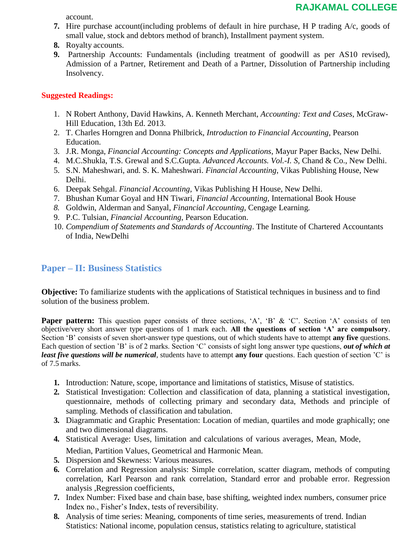account.

- **7.** Hire purchase account(including problems of default in hire purchase, H P trading A/c, goods of small value, stock and debtors method of branch), Installment payment system.
- **8.** Royalty accounts.
- **9.** Partnership Accounts: Fundamentals (including treatment of goodwill as per AS10 revised), Admission of a Partner, Retirement and Death of a Partner, Dissolution of Partnership including Insolvency.

### **Suggested Readings:**

- 1. N Robert Anthony, David Hawkins, A. Kenneth Merchant, *Accounting: Text and Cases*, McGraw-Hill Education, 13th Ed. 2013.
- 2. T. Charles Horngren and Donna Philbrick, *Introduction to Financial Accounting,* Pearson Education.
- 3. J.R. Monga, *Financial Accounting: Concepts and Applications*, Mayur Paper Backs, New Delhi.
- 4. M.C.Shukla, T.S. Grewal and S.C.Gupta*. Advanced Accounts. Vol.-I. S,* Chand & Co., New Delhi.
- 5. S.N. Maheshwari, and. S. K. Maheshwari. *Financial Accounting*, Vikas Publishing House, New Delhi.
- 6. Deepak Sehgal. *Financial Accounting,* Vikas Publishing H House, New Delhi.
- 7. Bhushan Kumar Goyal and HN Tiwari, *Financial Accounting,* International Book House
- *8.* Goldwin, Alderman and Sanyal, *Financial Accounting,* Cengage Learning*.*
- 9. P.C. Tulsian, *Financial Accounting,* Pearson Education.
- 10. *Compendium of Statements and Standards of Accounting*. The Institute of Chartered Accountants of India, NewDelhi

## **Paper – II: Business Statistics**

**Objective:** To familiarize students with the applications of Statistical techniques in business and to find solution of the business problem.

**Paper pattern:** This question paper consists of three sections, 'A', 'B' & 'C'. Section 'A' consists of ten objective/very short answer type questions of 1 mark each. **All the questions of section 'A' are compulsory**. Section 'B' consists of seven short-answer type questions, out of which students have to attempt **any five** questions. Each question of section 'B' is of 2 marks. Section 'C' consists of sight long answer type questions, *out of which at least five questions will be numerical*, students have to attempt **any four** questions. Each question of section 'C' is of 7.5 marks.

- **1.** Introduction: Nature, scope, importance and limitations of statistics, Misuse of statistics.
- **2.** Statistical Investigation: Collection and classification of data, planning a statistical investigation, questionnaire, methods of collecting primary and secondary data, Methods and principle of sampling. Methods of classification and tabulation.
- **3.** Diagrammatic and Graphic Presentation: Location of median, quartiles and mode graphically; one and two dimensional diagrams.
- **4.** Statistical Average: Uses, limitation and calculations of various averages, Mean, Mode, Median, Partition Values, Geometrical and Harmonic Mean.
- **5.** Dispersion and Skewness: Various measures.
- **6.** Correlation and Regression analysis: Simple correlation, scatter diagram, methods of computing correlation, Karl Pearson and rank correlation, Standard error and probable error. Regression analysis ,Regression coefficients,
- **7.** Index Number: Fixed base and chain base, base shifting, weighted index numbers, consumer price Index no., Fisher's Index, tests of reversibility.
- **8.** Analysis of time series: Meaning, components of time series, measurements of trend. Indian Statistics: National income, population census, statistics relating to agriculture, statistical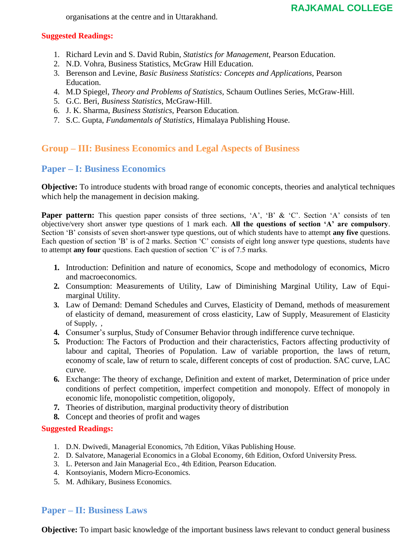## **RAJKAMAL COLLEGE**

organisations at the centre and in Uttarakhand.

#### **Suggested Readings:**

- 1. Richard Levin and S. David Rubin, *Statistics for Management*, Pearson Education.
- 2. N.D. Vohra, Business Statistics, McGraw Hill Education.
- 3. Berenson and Levine, *Basic Business Statistics: Concepts and Applications,* Pearson Education.
- 4. M.D Spiegel, *Theory and Problems of Statistics,* Schaum Outlines Series, McGraw-Hill.
- 5. G.C. Beri, *Business Statistics,* McGraw-Hill.
- 6. J. K. Sharma, *Business Statistics,* Pearson Education.
- 7. S.C. Gupta, *Fundamentals of Statistics,* Himalaya Publishing House.

## **Group – III: Business Economics and Legal Aspects of Business**

## **Paper – I: Business Economics**

**Objective:** To introduce students with broad range of economic concepts, theories and analytical techniques which help the management in decision making.

**Paper pattern:** This question paper consists of three sections, 'A', 'B' & 'C'. Section 'A' consists of ten objective/very short answer type questions of 1 mark each. **All the questions of section 'A' are compulsory**. Section 'B' consists of seven short-answer type questions, out of which students have to attempt **any five** questions. Each question of section 'B' is of 2 marks. Section 'C' consists of eight long answer type questions, students have to attempt **any four** questions. Each question of section 'C' is of 7.5 marks.

- **1.** Introduction: Definition and nature of economics, Scope and methodology of economics, Micro and macroeconomics.
- **2.** Consumption: Measurements of Utility, Law of Diminishing Marginal Utility, Law of Equimarginal Utility.
- **3.** Law of Demand: Demand Schedules and Curves, Elasticity of Demand, methods of measurement of elasticity of demand, measurement of cross elasticity, Law of Supply, Measurement of Elasticity of Supply, ,
- **4.** Consumer's surplus, Study of Consumer Behavior through indifference curve technique.
- **5.** Production: The Factors of Production and their characteristics, Factors affecting productivity of labour and capital, Theories of Population. Law of variable proportion, the laws of return, economy of scale, law of return to scale, different concepts of cost of production. SAC curve, LAC curve.
- **6.** Exchange: The theory of exchange, Definition and extent of market, Determination of price under conditions of perfect competition, imperfect competition and monopoly. Effect of monopoly in economic life, monopolistic competition, oligopoly,
- **7.** Theories of distribution, marginal productivity theory of distribution
- **8.** Concept and theories of profit and wages

### **Suggested Readings:**

- 1. D.N. Dwivedi, Managerial Economics, 7th Edition, Vikas Publishing House.
- 2. D. Salvatore, Managerial Economics in a Global Economy, 6th Edition, Oxford University Press.
- 3. L. Peterson and Jain Managerial Eco., 4th Edition, Pearson Education.
- 4. Kontsoyianis, Modern Micro-Economics.
- 5. M. Adhikary, Business Economics.

## **Paper – II: Business Laws**

**Objective:** To impart basic knowledge of the important business laws relevant to conduct general business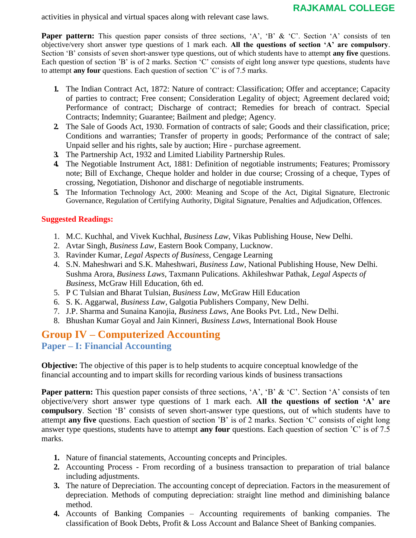## **RAJKAMAL COLLEGE**

activities in physical and virtual spaces along with relevant case laws.

**Paper pattern:** This question paper consists of three sections, 'A', 'B' & 'C'. Section 'A' consists of ten objective/very short answer type questions of 1 mark each. **All the questions of section 'A' are compulsory**. Section 'B' consists of seven short-answer type questions, out of which students have to attempt **any five** questions. Each question of section 'B' is of 2 marks. Section 'C' consists of eight long answer type questions, students have to attempt **any four** questions. Each question of section 'C' is of 7.5 marks.

- **1.** The Indian Contract Act, 1872: Nature of contract: Classification; Offer and acceptance; Capacity of parties to contract; Free consent; Consideration Legality of object; Agreement declared void; Performance of contract; Discharge of contract; Remedies for breach of contract. Special Contracts; Indemnity; Guarantee; Bailment and pledge; Agency.
- **2.** The Sale of Goods Act, 1930. Formation of contracts of sale; Goods and their classification, price; Conditions and warranties; Transfer of property in goods; Performance of the contract of sale; Unpaid seller and his rights, sale by auction; Hire - purchase agreement.
- **3.** The Partnership Act, 1932 and Limited Liability Partnership Rules.
- **4.** The Negotiable Instrument Act, 1881: Definition of negotiable instruments; Features; Promissory note; Bill of Exchange, Cheque holder and holder in due course; Crossing of a cheque, Types of crossing, Negotiation, Dishonor and discharge of negotiable instruments.
- **5.** The Information Technology Act, 2000: Meaning and Scope of the Act, Digital Signature, Electronic Governance, Regulation of Certifying Authority, Digital Signature, Penalties and Adjudication, Offences.

#### **Suggested Readings:**

- 1. M.C. Kuchhal, and Vivek Kuchhal, *Business Law*, Vikas Publishing House, New Delhi.
- 2. Avtar Singh, *Business Law*, Eastern Book Company, Lucknow.
- 3. Ravinder Kumar, *Legal Aspects of Business*, Cengage Learning
- 4. S.N. Maheshwari and S.K. Maheshwari, *Business Law*, National Publishing House, New Delhi. Sushma Arora, *Business Laws*, Taxmann Pulications. Akhileshwar Pathak, *Legal Aspects of Business*, McGraw Hill Education, 6th ed.
- 5. P C Tulsian and Bharat Tulsian, *Business Law*, McGraw Hill Education
- 6. S. K. Aggarwal, *Business Law*, Galgotia Publishers Company, New Delhi.
- 7. J.P. Sharma and Sunaina Kanojia, *Business Laws*, Ane Books Pvt. Ltd., New Delhi.
- 8. Bhushan Kumar Goyal and Jain Kinneri, *Business Laws*, International Book House

# **Group IV – Computerized Accounting**

**Paper – I: Financial Accounting**

**Objective:** The objective of this paper is to help students to acquire conceptual knowledge of the financial accounting and to impart skills for recording various kinds of business transactions

**Paper pattern:** This question paper consists of three sections, 'A', 'B' & 'C'. Section 'A' consists of ten objective/very short answer type questions of 1 mark each. **All the questions of section 'A' are compulsory**. Section 'B' consists of seven short-answer type questions, out of which students have to attempt **any five** questions. Each question of section 'B' is of 2 marks. Section 'C' consists of eight long answer type questions, students have to attempt **any four** questions. Each question of section 'C' is of 7.5 marks.

- **1.** Nature of financial statements, Accounting concepts and Principles.
- **2.** Accounting Process From recording of a business transaction to preparation of trial balance including adjustments.
- **3.** The nature of Depreciation. The accounting concept of depreciation. Factors in the measurement of depreciation. Methods of computing depreciation: straight line method and diminishing balance method.
- **4.** Accounts of Banking Companies Accounting requirements of banking companies. The classification of Book Debts, Profit & Loss Account and Balance Sheet of Banking companies.